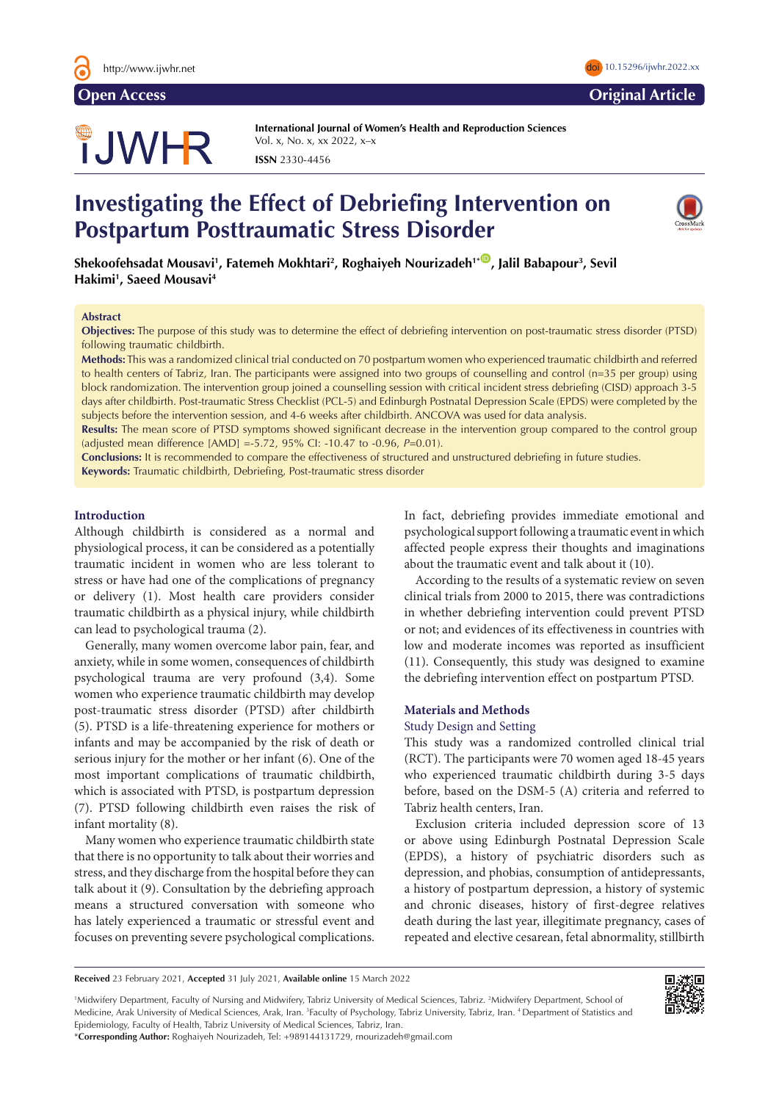# TJWHR

**International Journal of Women's Health and Reproduction Sciences**  Vol. x, No. x, xx 2022, x–x **ISSN** 2330-4456

# **Investigating the Effect of Debriefing Intervention on Postpartum Posttraumatic Stress Disorder**



 $\boldsymbol{\delta}$ Shekoofehsadat Mousavi<sup>1</sup>, Fatemeh Mokhtari<sup>2</sup>, Roghaiyeh Nourizadeh<sup>1+</sup>®, Jalil Babapour<sup>3</sup>, Sevil **Hakimi1 , Saeed Mousavi4** 

#### **Abstract**

**Objectives:** The purpose of this study was to determine the effect of debriefing intervention on post-traumatic stress disorder (PTSD) following traumatic childbirth.

**Methods:** This was a randomized clinical trial conducted on 70 postpartum women who experienced traumatic childbirth and referred to health centers of Tabriz, Iran. The participants were assigned into two groups of counselling and control (n=35 per group) using block randomization. The intervention group joined a counselling session with critical incident stress debriefing (CISD) approach 3-5 days after childbirth. Post-traumatic Stress Checklist (PCL-5) and Edinburgh Postnatal Depression Scale (EPDS) were completed by the subjects before the intervention session, and 4-6 weeks after childbirth. ANCOVA was used for data analysis.

**Results:** The mean score of PTSD symptoms showed significant decrease in the intervention group compared to the control group (adjusted mean difference [AMD] =-5.72, 95% CI: -10.47 to -0.96, *P*=0.01).

**Conclusions:** It is recommended to compare the effectiveness of structured and unstructured debriefing in future studies.

**Keywords:** Traumatic childbirth, Debriefing, Post-traumatic stress disorder

# **Introduction**

Although childbirth is considered as a normal and physiological process, it can be considered as a potentially traumatic incident in women who are less tolerant to stress or have had one of the complications of pregnancy or delivery (1). Most health care providers consider traumatic childbirth as a physical injury, while childbirth can lead to psychological trauma (2).

Generally, many women overcome labor pain, fear, and anxiety, while in some women, consequences of childbirth psychological trauma are very profound (3,4). Some women who experience traumatic childbirth may develop post-traumatic stress disorder (PTSD) after childbirth (5). PTSD is a life-threatening experience for mothers or infants and may be accompanied by the risk of death or serious injury for the mother or her infant (6). One of the most important complications of traumatic childbirth, which is associated with PTSD, is postpartum depression (7). PTSD following childbirth even raises the risk of infant mortality (8).

Many women who experience traumatic childbirth state that there is no opportunity to talk about their worries and stress, and they discharge from the hospital before they can talk about it (9). Consultation by the debriefing approach means a structured conversation with someone who has lately experienced a traumatic or stressful event and focuses on preventing severe psychological complications.

In fact, debriefing provides immediate emotional and psychological support following a traumatic event in which affected people express their thoughts and imaginations about the traumatic event and talk about it (10).

According to the results of a systematic review on seven clinical trials from 2000 to 2015, there was contradictions in whether debriefing intervention could prevent PTSD or not; and evidences of its effectiveness in countries with low and moderate incomes was reported as insufficient (11). Consequently, this study was designed to examine the debriefing intervention effect on postpartum PTSD.

# **Materials and Methods**

# Study Design and Setting

This study was a randomized controlled clinical trial (RCT). The participants were 70 women aged 18-45 years who experienced traumatic childbirth during 3-5 days before, based on the DSM-5 (A) criteria and referred to Tabriz health centers, Iran.

Exclusion criteria included depression score of 13 or above using Edinburgh Postnatal Depression Scale (EPDS), a history of psychiatric disorders such as depression, and phobias, consumption of antidepressants, a history of postpartum depression, a history of systemic and chronic diseases, history of first-degree relatives death during the last year, illegitimate pregnancy, cases of repeated and elective cesarean, fetal abnormality, stillbirth

**Received** 23 February 2021, **Accepted** 31 July 2021, **Available online** 15 March 2022

<sup>1</sup>Midwifery Department, Faculty of Nursing and Midwifery, Tabriz University of Medical Sciences, Tabriz. <sup>2</sup>Midwifery Department, School of Medicine, Arak University of Medical Sciences, Arak, Iran. <sup>3</sup>Faculty of Psychology, Tabriz University, Tabriz, Iran. <sup>4</sup> Department of Statistics and Epidemiology, Faculty of Health, Tabriz University of Medical Sciences, Tabriz, Iran.



\***Corresponding Author:** Roghaiyeh Nourizadeh, Tel: +989144131729, rnourizadeh@gmail.com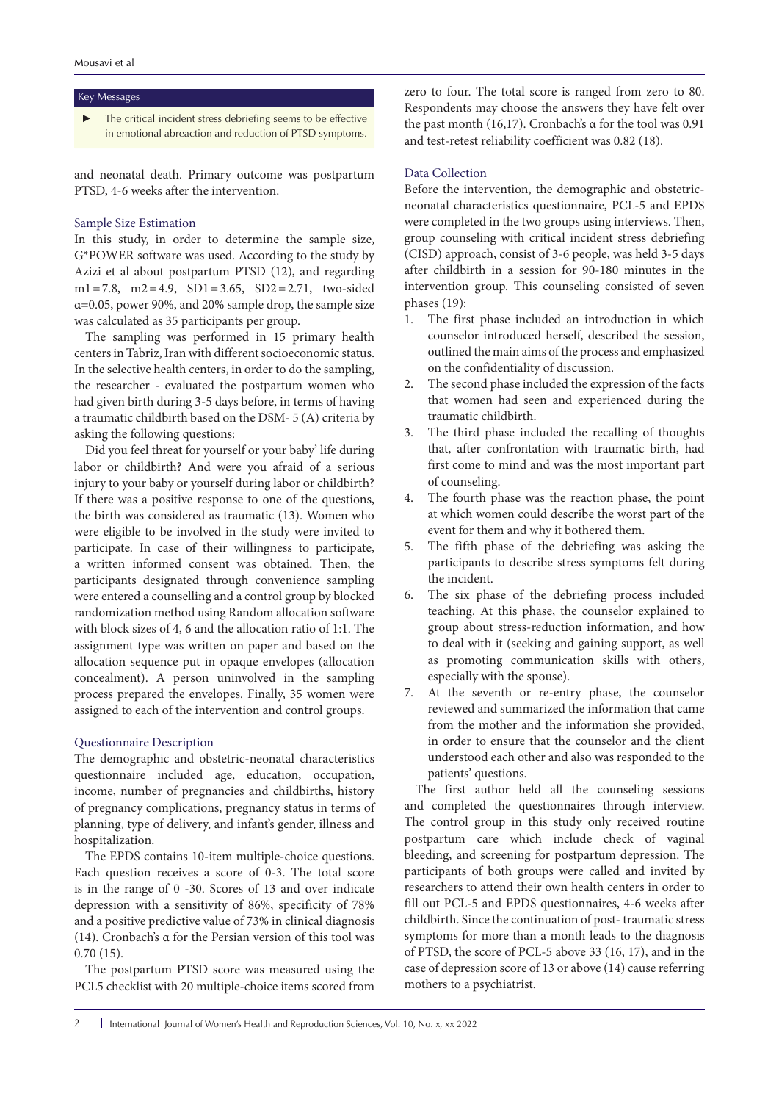#### Key Messages

The critical incident stress debriefing seems to be effective in emotional abreaction and reduction of PTSD symptoms.

and neonatal death. Primary outcome was postpartum PTSD, 4-6 weeks after the intervention.

### Sample Size Estimation

In this study, in order to determine the sample size, G\*POWER software was used. According to the study by Azizi et al about postpartum PTSD (12), and regarding m1=7.8, m2=4.9, SD1=3.65, SD2=2.71, two-sided α=0.05, power 90%, and 20% sample drop, the sample size was calculated as 35 participants per group.

The sampling was performed in 15 primary health centers in Tabriz, Iran with different socioeconomic status. In the selective health centers, in order to do the sampling, the researcher - evaluated the postpartum women who had given birth during 3-5 days before, in terms of having a traumatic childbirth based on the DSM- 5 (A) criteria by asking the following questions:

Did you feel threat for yourself or your baby' life during labor or childbirth? And were you afraid of a serious injury to your baby or yourself during labor or childbirth? If there was a positive response to one of the questions, the birth was considered as traumatic (13). Women who were eligible to be involved in the study were invited to participate. In case of their willingness to participate, a written informed consent was obtained. Then, the participants designated through convenience sampling were entered a counselling and a control group by blocked randomization method using Random allocation software with block sizes of 4, 6 and the allocation ratio of 1:1. The assignment type was written on paper and based on the allocation sequence put in opaque envelopes (allocation concealment). A person uninvolved in the sampling process prepared the envelopes. Finally, 35 women were assigned to each of the intervention and control groups.

### Questionnaire Description

The demographic and obstetric-neonatal characteristics questionnaire included age, education, occupation, income, number of pregnancies and childbirths, history of pregnancy complications, pregnancy status in terms of planning, type of delivery, and infant's gender, illness and hospitalization.

The EPDS contains 10-item multiple-choice questions. Each question receives a score of 0-3. The total score is in the range of 0 -30. Scores of 13 and over indicate depression with a sensitivity of 86%, specificity of 78% and a positive predictive value of 73% in clinical diagnosis (14). Cronbach's α for the Persian version of this tool was 0.70 (15).

The postpartum PTSD score was measured using the PCL5 checklist with 20 multiple-choice items scored from zero to four. The total score is ranged from zero to 80. Respondents may choose the answers they have felt over the past month (16,17). Cronbach's α for the tool was 0.91 and test-retest reliability coefficient was 0.82 (18).

# Data Collection

Before the intervention, the demographic and obstetricneonatal characteristics questionnaire, PCL-5 and EPDS were completed in the two groups using interviews. Then, group counseling with critical incident stress debriefing (CISD) approach, consist of 3-6 people, was held 3-5 days after childbirth in a session for 90-180 minutes in the intervention group. This counseling consisted of seven phases (19):

- 1. The first phase included an introduction in which counselor introduced herself, described the session, outlined the main aims of the process and emphasized on the confidentiality of discussion.
- 2. The second phase included the expression of the facts that women had seen and experienced during the traumatic childbirth.
- 3. The third phase included the recalling of thoughts that, after confrontation with traumatic birth, had first come to mind and was the most important part of counseling.
- 4. The fourth phase was the reaction phase, the point at which women could describe the worst part of the event for them and why it bothered them.
- 5. The fifth phase of the debriefing was asking the participants to describe stress symptoms felt during the incident.
- 6. The six phase of the debriefing process included teaching. At this phase, the counselor explained to group about stress-reduction information, and how to deal with it (seeking and gaining support, as well as promoting communication skills with others, especially with the spouse).
- 7. At the seventh or re-entry phase, the counselor reviewed and summarized the information that came from the mother and the information she provided, in order to ensure that the counselor and the client understood each other and also was responded to the patients' questions.

The first author held all the counseling sessions and completed the questionnaires through interview. The control group in this study only received routine postpartum care which include check of vaginal bleeding, and screening for postpartum depression. The participants of both groups were called and invited by researchers to attend their own health centers in order to fill out PCL-5 and EPDS questionnaires, 4-6 weeks after childbirth. Since the continuation of post- traumatic stress symptoms for more than a month leads to the diagnosis of PTSD, the score of PCL-5 above 33 (16, 17), and in the case of depression score of 13 or above (14) cause referring mothers to a psychiatrist.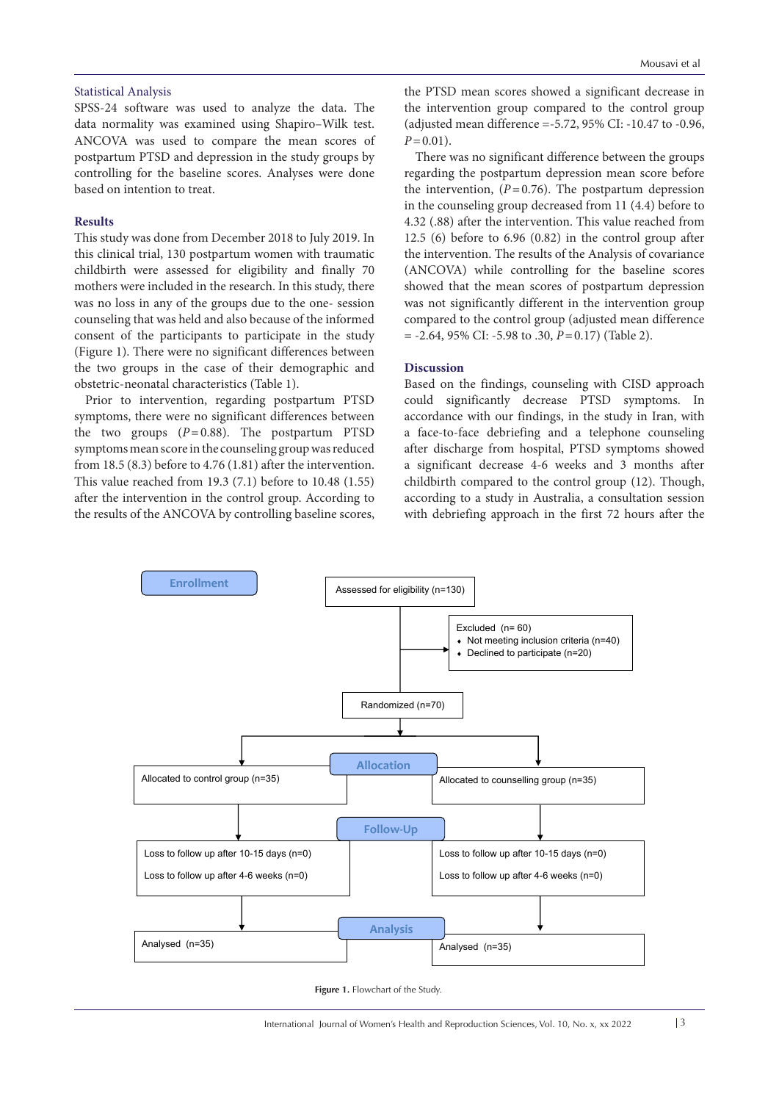# Statistical Analysis

SPSS-24 software was used to analyze the data. The data normality was examined usin[g Shapiro–Wilk test.](https://www.google.com/url?url=https://en.wikipedia.org/wiki/Shapiro%25E2%2580%2593Wilk_test&rct=j&frm=1&q=&esrc=s&sa=U&ved=0ahUKEwjX26S7grDZAhUKGuwKHdpbDnAQFggVMAA&usg=AOvVaw3RMQ9YHrd18h97bWPAZATq) ANCOVA was used to compare the mean scores of postpartum PTSD and depression in the study groups by controlling for the baseline scores. Analyses were done based on intention to treat.

# **Results**

This study was done from December 2018 to July 2019. In this clinical trial, 130 postpartum women with traumatic childbirth were assessed for eligibility and finally 70 mothers were included in the research. In this study, there was no loss in any of the groups due to the one- session counseling that was held and also because of the informed consent of the participants to participate in the study (Figure 1). There were no significant differences between the two groups in the case of their demographic and obstetric-neonatal characteristics (Table 1).

Prior to intervention, regarding postpartum PTSD symptoms, there were no significant differences between the two groups  $(P=0.88)$ . The postpartum PTSD symptoms mean score in the counseling group was reduced from 18.5 (8.3) before to 4.76 (1.81) after the intervention. This value reached from 19.3 (7.1) before to 10.48 (1.55) after the intervention in the control group. According to the results of the ANCOVA by controlling baseline scores,

the PTSD mean scores showed a significant decrease in the intervention group compared to the control group (adjusted mean difference =-5.72, 95% CI: -10.47 to -0.96,  $P=0.01$ ).

There was no significant difference between the groups regarding the postpartum depression mean score before the intervention,  $(P=0.76)$ . The postpartum depression in the counseling group decreased from 11 (4.4) before to 4.32 (.88) after the intervention. This value reached from 12.5 (6) before to 6.96 (0.82) in the control group after the intervention. The results of the Analysis of covariance (ANCOVA) while controlling for the baseline scores showed that the mean scores of postpartum depression was not significantly different in the intervention group compared to the control group (adjusted mean difference = -2.64, 95% CI: -5.98 to .30, *P*=0.17) (Table 2).

# **Discussion**

Based on the findings, counseling with CISD approach could significantly decrease PTSD symptoms. In accordance with our findings, in the study in Iran, with a face-to-face debriefing and a telephone counseling after discharge from hospital, PTSD symptoms showed a significant decrease 4-6 weeks and 3 months after childbirth compared to the control group (12). Though, according to a study in Australia, a consultation session with debriefing approach in the first 72 hours after the



**Figure 1.** Flowchart of the Study.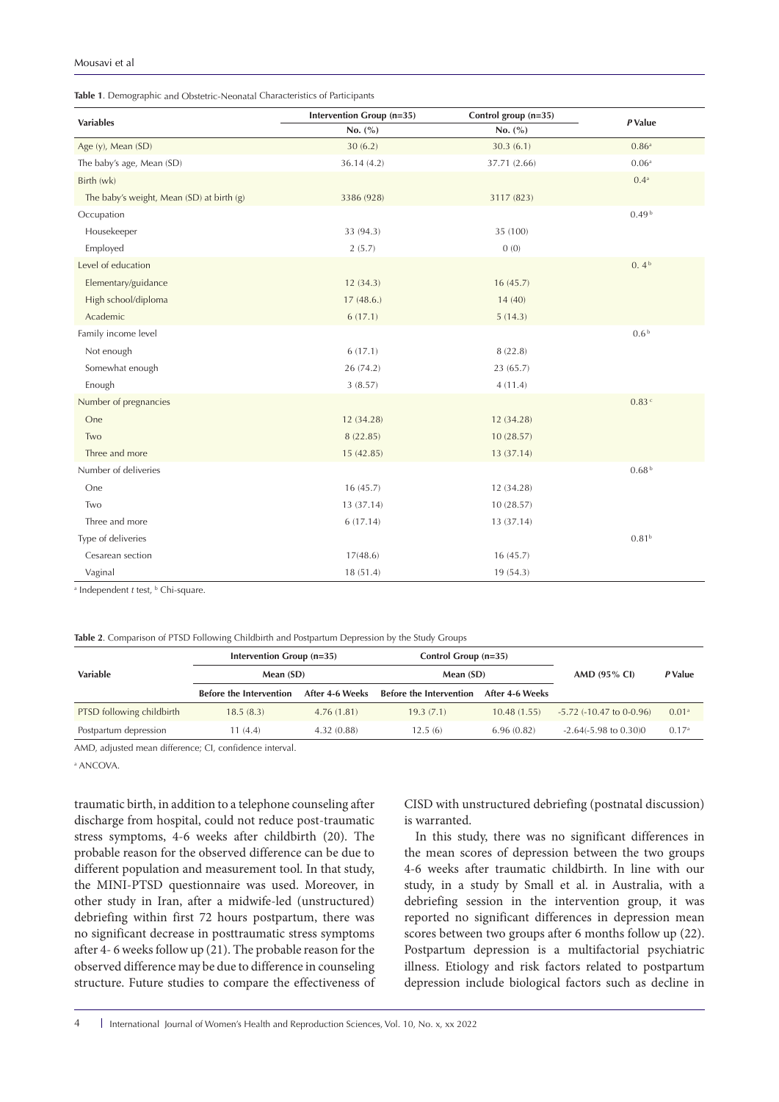| Table 1. Demographic and Obstetric-Neonatal Characteristics of Participants |  |  |
|-----------------------------------------------------------------------------|--|--|
|-----------------------------------------------------------------------------|--|--|

| <b>Variables</b>                                          | Intervention Group (n=35) | Control group (n=35) |                   |  |
|-----------------------------------------------------------|---------------------------|----------------------|-------------------|--|
|                                                           | No. (%)                   | No. $(\% )$          | P Value           |  |
| Age (y), Mean (SD)                                        | 30(6.2)                   | 30.3(6.1)            | 0.86 <sup>a</sup> |  |
| The baby's age, Mean (SD)                                 | 36.14 (4.2)               | 37.71 (2.66)         | 0.06 <sup>a</sup> |  |
| Birth (wk)                                                |                           |                      | $0.4^{a}$         |  |
| The baby's weight, Mean (SD) at birth (g)                 | 3386 (928)                | 3117 (823)           |                   |  |
| Occupation                                                |                           |                      | 0.49 <sup>b</sup> |  |
| Housekeeper                                               | 33 (94.3)                 | 35 (100)             |                   |  |
| Employed                                                  | 2(5.7)                    | 0(0)                 |                   |  |
| Level of education                                        |                           |                      | 0.4 <sup>b</sup>  |  |
| Elementary/guidance                                       | 12(34.3)                  | 16(45.7)             |                   |  |
| High school/diploma                                       | 17(48.6.)                 | 14(40)               |                   |  |
| Academic                                                  | 6(17.1)                   | 5(14.3)              |                   |  |
| Family income level                                       |                           |                      | 0.6 <sup>b</sup>  |  |
| Not enough                                                | 6(17.1)                   | 8(22.8)              |                   |  |
| Somewhat enough                                           | 26 (74.2)                 | 23 (65.7)            |                   |  |
| Enough                                                    | 3(8.57)                   | 4(11.4)              |                   |  |
| Number of pregnancies                                     |                           |                      | 0.83C             |  |
| One                                                       | 12 (34.28)                | 12 (34.28)           |                   |  |
| Two                                                       | 8(22.85)                  | 10(28.57)            |                   |  |
| Three and more                                            | 15 (42.85)                | 13 (37.14)           |                   |  |
| Number of deliveries                                      |                           |                      | 0.68 <sup>b</sup> |  |
| One                                                       | 16(45.7)                  | 12 (34.28)           |                   |  |
| Two                                                       | 13 (37.14)                | 10 (28.57)           |                   |  |
| Three and more                                            | 6(17.14)                  | 13 (37.14)           |                   |  |
| Type of deliveries                                        |                           |                      | 0.81 <sup>b</sup> |  |
| Cesarean section                                          | 17(48.6)                  | 16(45.7)             |                   |  |
| Vaginal                                                   | 18 (51.4)                 | 19 (54.3)            |                   |  |
| <sup>a</sup> Independent t test, <sup>b</sup> Chi-square. |                           |                      |                   |  |

| Table 2. Comparison of PTSD Following Childbirth and Postpartum Depression by the Study Groups |
|------------------------------------------------------------------------------------------------|
|------------------------------------------------------------------------------------------------|

|                           | Intervention Group (n=35)      |                 | Control Group (n=35)           |                 |                                   |                   |
|---------------------------|--------------------------------|-----------------|--------------------------------|-----------------|-----------------------------------|-------------------|
| <b>Variable</b>           | Mean (SD)                      |                 | Mean (SD)                      |                 | AMD $(95\%$ CI)                   | P Value           |
|                           | <b>Before the Intervention</b> | After 4-6 Weeks | <b>Before the Intervention</b> | After 4-6 Weeks |                                   |                   |
| PTSD following childbirth | 18.5(8.3)                      | 4.76(1.81)      | 19.3(7.1)                      | 10.48(1.55)     | $-5.72$ ( $-10.47$ to 0 $-0.96$ ) | 0.01 <sup>a</sup> |
| Postpartum depression     | 11 (4.4)                       | 4.32(0.88)      | 12.5(6)                        | 6.96(0.82)      | $-2.64(-5.98 \text{ to } 0.30)0$  | 0.17 <sup>a</sup> |

AMD, adjusted mean difference; CI, confidence interval.

a ANCOVA.

traumatic birth, in addition to a telephone counseling after discharge from hospital, could not reduce post-traumatic stress symptoms, 4-6 weeks after childbirth (20). The probable reason for the observed difference can be due to different population and measurement tool. In that study, the MINI-PTSD questionnaire was used. Moreover, in other study in Iran, after a midwife-led (unstructured) debriefing within first 72 hours postpartum, there was no significant decrease in posttraumatic stress symptoms after 4- 6 weeks follow up (21). The probable reason for the observed difference may be due to difference in counseling structure. Future studies to compare the effectiveness of CISD with unstructured debriefing (postnatal discussion) is warranted.

In this study, there was no significant differences in the mean scores of depression between the two groups 4-6 weeks after traumatic childbirth. In line with our study, in a study by Small et al. in Australia, with a debriefing session in the intervention group, it was reported no significant differences in depression mean scores between two groups after 6 months follow up (22). Postpartum depression is a multifactorial psychiatric illness. Etiology and risk factors related to postpartum depression include biological factors such as decline in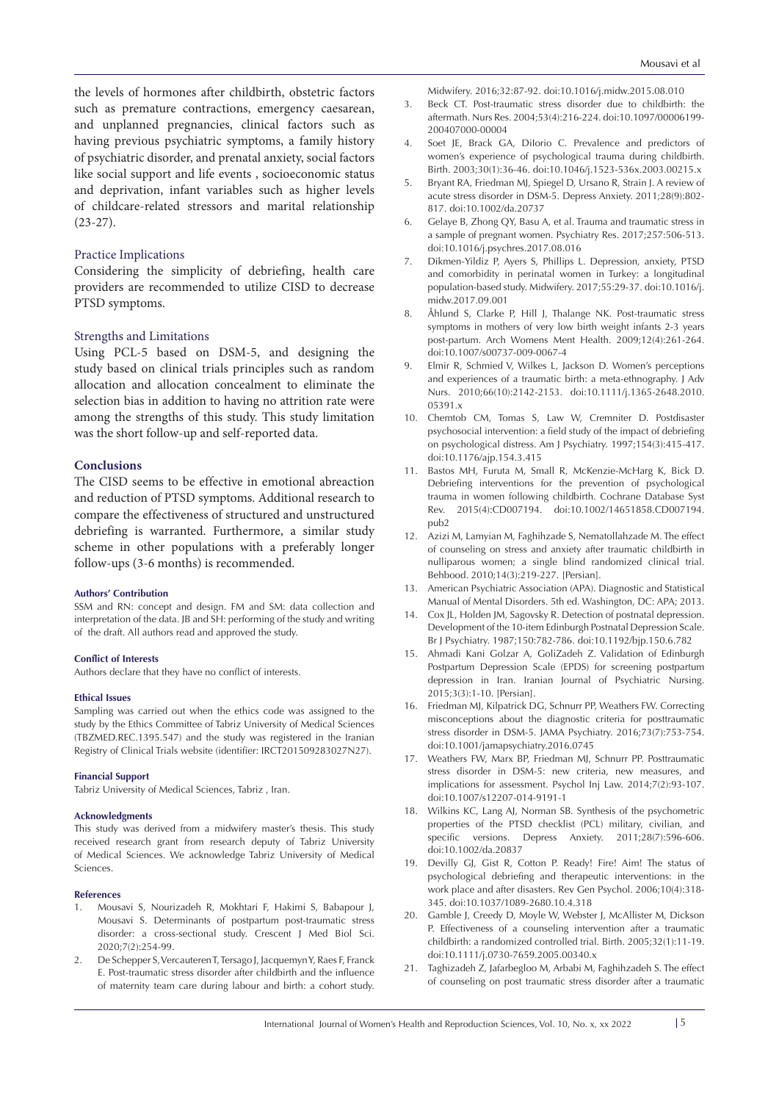the levels of hormones after childbirth, obstetric factors such as premature contractions, emergency caesarean, and unplanned pregnancies, clinical factors such as having previous psychiatric symptoms, a family history of psychiatric disorder, and prenatal anxiety, social factors like social support and life events , socioeconomic status and deprivation, infant variables such as higher levels of childcare-related stressors and marital relationship (23-27).

# Practice Implications

Considering the simplicity of debriefing, health care providers are recommended to utilize CISD to decrease PTSD symptoms.

#### Strengths and Limitations

Using PCL-5 based on DSM-5, and designing the study based on clinical trials principles such as random allocation and allocation concealment to eliminate the selection bias in addition to having no attrition rate were among the strengths of this study. This study limitation was the short follow-up and self-reported data.

# **Conclusions**

The CISD seems to be effective in emotional abreaction and reduction of PTSD symptoms. Additional research to compare the effectiveness of structured and unstructured debriefing is warranted. Furthermore, a similar study scheme in other populations with a preferably longer follow-ups (3-6 months) is recommended.

#### **Authors' Contribution**

SSM and RN: concept and design. FM and SM: data collection and interpretation of the data. JB and SH: performing of the study and writing of the draft. All authors read and approved the study.

#### **Conflict of Interests**

Authors declare that they have no conflict of interests.

#### **Ethical Issues**

Sampling was carried out when the ethics code was assigned to the study by the Ethics Committee of Tabriz University of Medical Sciences (TBZMED.REC.1395.547) and the study was registered in the Iranian Registry of Clinical Trials website (identifier: IRCT201509283027N27).

#### **Financial Support**

Tabriz University of Medical Sciences, Tabriz , Iran.

#### **Acknowledgments**

This study was derived from a midwifery master's thesis. This study received research grant from research deputy of Tabriz University of Medical Sciences. We acknowledge Tabriz University of Medical Sciences.

#### **References**

- 1. Mousavi S, Nourizadeh R, Mokhtari F, Hakimi S, Babapour J, Mousavi S. Determinants of postpartum post-traumatic stress disorder: a cross-sectional study. Crescent J Med Biol Sci. 2020;7(2):254-99.
- 2. De Schepper S, Vercauteren T, Tersago J, Jacquemyn Y, Raes F, Franck E. Post-traumatic stress disorder after childbirth and the influence of maternity team care during labour and birth: a cohort study.

Midwifery. 2016;32:87-92. doi:10.1016/j.midw.2015.08.010

- 3. Beck CT. Post-traumatic stress disorder due to childbirth: the aftermath. Nurs Res. 2004;53(4):216-224. doi:10.1097/00006199- 200407000-00004
- 4. Soet JE, Brack GA, DiIorio C. Prevalence and predictors of women's experience of psychological trauma during childbirth. Birth. 2003;30(1):36-46. doi:10.1046/j.1523-536x.2003.00215.x
- 5. Bryant RA, Friedman MJ, Spiegel D, Ursano R, Strain J. A review of acute stress disorder in DSM-5. Depress Anxiety. 2011;28(9):802- 817. doi:10.1002/da.20737
- 6. Gelaye B, Zhong QY, Basu A, et al. Trauma and traumatic stress in a sample of pregnant women. Psychiatry Res. 2017;257:506-513. doi:10.1016/j.psychres.2017.08.016
- 7. Dikmen-Yildiz P, Ayers S, Phillips L. Depression, anxiety, PTSD and comorbidity in perinatal women in Turkey: a longitudinal population-based study. Midwifery. 2017;55:29-37. doi:10.1016/j. midw.2017.09.001
- 8. Åhlund S, Clarke P, Hill J, Thalange NK. Post-traumatic stress symptoms in mothers of very low birth weight infants 2-3 years post-partum. Arch Womens Ment Health. 2009;12(4):261-264. doi:10.1007/s00737-009-0067-4
- 9. Elmir R, Schmied V, Wilkes L, Jackson D. Women's perceptions and experiences of a traumatic birth: a meta-ethnography. J Adv Nurs. 2010;66(10):2142-2153. doi:10.1111/j.1365-2648.2010. 05391.x
- 10. Chemtob CM, Tomas S, Law W, Cremniter D. Postdisaster psychosocial intervention: a field study of the impact of debriefing on psychological distress. Am J Psychiatry. 1997;154(3):415-417. doi:10.1176/ajp.154.3.415
- 11. Bastos MH, Furuta M, Small R, McKenzie-McHarg K, Bick D. Debriefing interventions for the prevention of psychological trauma in women following childbirth. Cochrane Database Syst Rev. 2015(4):CD007194. doi:10.1002/14651858.CD007194. pub2
- 12. Azizi M, Lamyian M, Faghihzade S, Nematollahzade M. The effect of counseling on stress and anxiety after traumatic childbirth in nulliparous women; a single blind randomized clinical trial. Behbood. 2010;14(3):219-227. [Persian].
- 13. American Psychiatric Association (APA). Diagnostic and Statistical Manual of Mental Disorders. 5th ed. Washington, DC: APA; 2013.
- 14. Cox JL, Holden JM, Sagovsky R. Detection of postnatal depression. Development of the 10-item Edinburgh Postnatal Depression Scale. Br J Psychiatry. 1987;150:782-786. doi:10.1192/bjp.150.6.782
- 15. Ahmadi Kani Golzar A, GoliZadeh Z. Validation of Edinburgh Postpartum Depression Scale (EPDS) for screening postpartum depression in Iran. Iranian Journal of Psychiatric Nursing. 2015;3(3):1-10. [Persian].
- 16. Friedman MJ, Kilpatrick DG, Schnurr PP, Weathers FW. Correcting misconceptions about the diagnostic criteria for posttraumatic stress disorder in DSM-5. JAMA Psychiatry. 2016;73(7):753-754. doi:10.1001/jamapsychiatry.2016.0745
- 17. Weathers FW, Marx BP, Friedman MJ, Schnurr PP. Posttraumatic stress disorder in DSM-5: new criteria, new measures, and implications for assessment. Psychol Inj Law. 2014;7(2):93-107. doi:10.1007/s12207-014-9191-1
- 18. Wilkins KC, Lang AJ, Norman SB. Synthesis of the psychometric properties of the PTSD checklist (PCL) military, civilian, and specific versions. Depress Anxiety. 2011;28(7):596-606. doi:10.1002/da.20837
- 19. Devilly GJ, Gist R, Cotton P. Ready! Fire! Aim! The status of psychological debriefing and therapeutic interventions: in the work place and after disasters. Rev Gen Psychol. 2006;10(4):318- 345. doi:10.1037/1089-2680.10.4.318
- 20. Gamble J, Creedy D, Moyle W, Webster J, McAllister M, Dickson P. Effectiveness of a counseling intervention after a traumatic childbirth: a randomized controlled trial. Birth. 2005;32(1):11-19. doi:10.1111/j.0730-7659.2005.00340.x
- 21. Taghizadeh Z, Jafarbegloo M, Arbabi M, Faghihzadeh S. The effect of counseling on post traumatic stress disorder after a traumatic